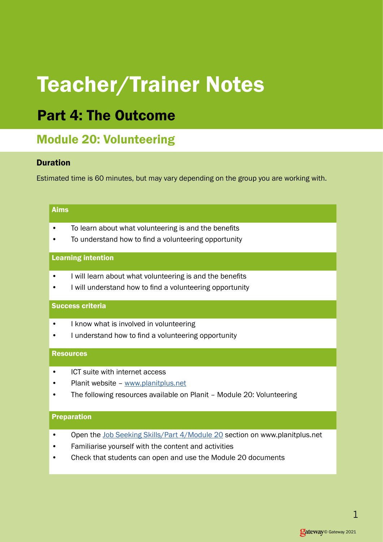# Teacher/Trainer Notes

## Part 4: The Outcome

### Module 20: Volunteering

#### Duration

Estimated time is 60 minutes, but may vary depending on the group you are working with.

#### Aims

- To learn about what volunteering is and the benefits
- To understand how to find a volunteering opportunity

#### Learning intention

- I will learn about what volunteering is and the benefits
- I will understand how to find a volunteering opportunity

#### Success criteria

- I know what is involved in volunteering
- I understand how to find a volunteering opportunity

#### **Resources**

- ICT suite with internet access
- Planit website [www.planitplus.net](https://www.planitplus.net/)
- The following resources available on Planit Module 20: Volunteering

#### Preparation

- Open the [Job Seeking Skills/Part 4/Module 20](https://www.planitplus.net/JobSeekingSkills/View/186?categoryId=43) section on www.planitplus.net
- Familiarise yourself with the content and activities
- Check that students can open and use the Module 20 documents